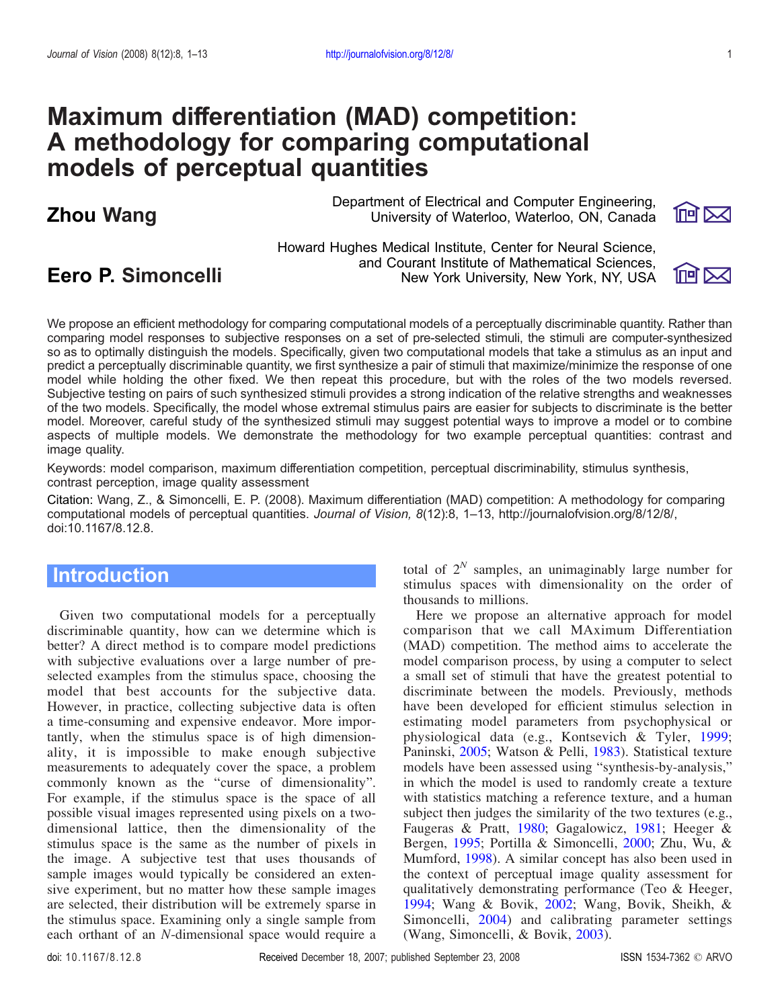# Maximum differentiation (MAD) competition: A methodology for comparing computational models of perceptual quantities

Department of Electrical and Computer Engineering, Zhou Wang University of Waterloo, Waterloo, ON, Canada



Howard Hughes Medical Institute, Center for Neural Science, and Courant Institute of Mathematical Sciences, **Eero P. Simoncelli** New York University, New York, NY, USA



We propose an efficient methodology for comparing computational models of a perceptually discriminable quantity. Rather than comparing model responses to subjective responses on a set of pre-selected stimuli, the stimuli are computer-synthesized so as to optimally distinguish the models. Specifically, given two computational models that take a stimulus as an input and predict a perceptually discriminable quantity, we first synthesize a pair of stimuli that maximize/minimize the response of one model while holding the other fixed. We then repeat this procedure, but with the roles of the two models reversed. Subjective testing on pairs of such synthesized stimuli provides a strong indication of the relative strengths and weaknesses of the two models. Specifically, the model whose extremal stimulus pairs are easier for subjects to discriminate is the better model. Moreover, careful study of the synthesized stimuli may suggest potential ways to improve a model or to combine aspects of multiple models. We demonstrate the methodology for two example perceptual quantities: contrast and image quality.

Keywords: model comparison, maximum differentiation competition, perceptual discriminability, stimulus synthesis, contrast perception, image quality assessment

Citation: Wang, Z., & Simoncelli, E. P. (2008). Maximum differentiation (MAD) competition: A methodology for comparing computational models of perceptual quantities. Journal of Vision, 8(12):8, 1*–*13, http://journalofvision.org/8/12/8/, doi:10.1167/8.12.8.

## **Introduction**

Given two computational models for a perceptually discriminable quantity, how can we determine which is better? A direct method is to compare model predictions with subjective evaluations over a large number of preselected examples from the stimulus space, choosing the model that best accounts for the subjective data. However, in practice, collecting subjective data is often a time-consuming and expensive endeavor. More importantly, when the stimulus space is of high dimensionality, it is impossible to make enough subjective measurements to adequately cover the space, a problem commonly known as the "curse of dimensionality". For example, if the stimulus space is the space of all possible visual images represented using pixels on a twodimensional lattice, then the dimensionality of the stimulus space is the same as the number of pixels in the image. A subjective test that uses thousands of sample images would typically be considered an extensive experiment, but no matter how these sample images are selected, their distribution will be extremely sparse in the stimulus space. Examining only a single sample from each orthant of an N-dimensional space would require a

total of  $2^N$  samples, an unimaginably large number for stimulus spaces with dimensionality on the order of thousands to millions.

Here we propose an alternative approach for model comparison that we call MAximum Differentiation (MAD) competition. The method aims to accelerate the model comparison process, by using a computer to select a small set of stimuli that have the greatest potential to discriminate between the models. Previously, methods have been developed for efficient stimulus selection in estimating model parameters from psychophysical or physiological data (e.g., Kontsevich & Tyler, [1999;](#page-11-0) Paninski, [2005;](#page-11-0) Watson & Pelli, [1983](#page-12-0)). Statistical texture models have been assessed using "synthesis-by-analysis," in which the model is used to randomly create a texture with statistics matching a reference texture, and a human subject then judges the similarity of the two textures (e.g., Faugeras & Pratt, [1980;](#page-11-0) Gagalowicz, [1981;](#page-11-0) Heeger & Bergen, [1995](#page-11-0); Portilla & Simoncelli, [2000](#page-12-0); Zhu, Wu, & Mumford, [1998\)](#page-12-0). A similar concept has also been used in the context of perceptual image quality assessment for qualitatively demonstrating performance (Teo & Heeger, [1994;](#page-12-0) Wang & Bovik, [2002;](#page-12-0) Wang, Bovik, Sheikh, & Simoncelli, [2004](#page-12-0)) and calibrating parameter settings (Wang, Simoncelli, & Bovik, [2003](#page-12-0)).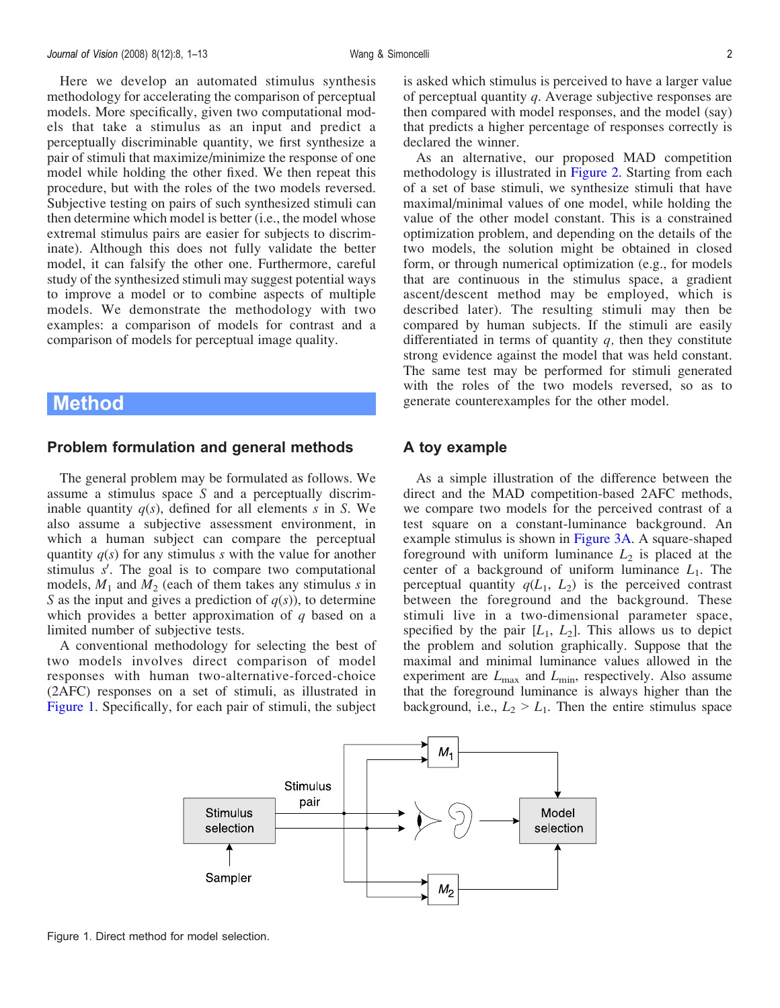Here we develop an automated stimulus synthesis methodology for accelerating the comparison of perceptual models. More specifically, given two computational models that take a stimulus as an input and predict a perceptually discriminable quantity, we first synthesize a pair of stimuli that maximize/minimize the response of one model while holding the other fixed. We then repeat this procedure, but with the roles of the two models reversed. Subjective testing on pairs of such synthesized stimuli can then determine which model is better (i.e., the model whose extremal stimulus pairs are easier for subjects to discriminate). Although this does not fully validate the better model, it can falsify the other one. Furthermore, careful study of the synthesized stimuli may suggest potential ways to improve a model or to combine aspects of multiple models. We demonstrate the methodology with two examples: a comparison of models for contrast and a comparison of models for perceptual image quality.

## Method

#### Problem formulation and general methods

The general problem may be formulated as follows. We assume a stimulus space S and a perceptually discriminable quantity  $q(s)$ , defined for all elements s in S. We also assume a subjective assessment environment, in which a human subject can compare the perceptual quantity  $q(s)$  for any stimulus s with the value for another stimulus  $s'$ . The goal is to compare two computational models,  $M_1$  and  $M_2$  (each of them takes any stimulus s in S as the input and gives a prediction of  $q(s)$ , to determine which provides a better approximation of  $q$  based on a limited number of subjective tests.

A conventional methodology for selecting the best of two models involves direct comparison of model responses with human two-alternative-forced-choice (2AFC) responses on a set of stimuli, as illustrated in Figure 1. Specifically, for each pair of stimuli, the subject is asked which stimulus is perceived to have a larger value of perceptual quantity q. Average subjective responses are then compared with model responses, and the model (say) that predicts a higher percentage of responses correctly is declared the winner.

As an alternative, our proposed MAD competition methodology is illustrated in [Figure 2.](#page-2-0) Starting from each of a set of base stimuli, we synthesize stimuli that have maximal/minimal values of one model, while holding the value of the other model constant. This is a constrained optimization problem, and depending on the details of the two models, the solution might be obtained in closed form, or through numerical optimization (e.g., for models that are continuous in the stimulus space, a gradient ascent/descent method may be employed, which is described later). The resulting stimuli may then be compared by human subjects. If the stimuli are easily differentiated in terms of quantity  $q$ , then they constitute strong evidence against the model that was held constant. The same test may be performed for stimuli generated with the roles of the two models reversed, so as to generate counterexamples for the other model.

#### A toy example

As a simple illustration of the difference between the direct and the MAD competition-based 2AFC methods, we compare two models for the perceived contrast of a test square on a constant-luminance background. An example stimulus is shown in [Figure 3A.](#page-2-0) A square-shaped foreground with uniform luminance  $L_2$  is placed at the center of a background of uniform luminance  $L_1$ . The perceptual quantity  $q(L_1, L_2)$  is the perceived contrast between the foreground and the background. These stimuli live in a two-dimensional parameter space, specified by the pair  $[L_1, L_2]$ . This allows us to depict the problem and solution graphically. Suppose that the maximal and minimal luminance values allowed in the experiment are  $L_{\text{max}}$  and  $L_{\text{min}}$ , respectively. Also assume that the foreground luminance is always higher than the background, i.e.,  $L_2 > L_1$ . Then the entire stimulus space



Figure 1. Direct method for model selection.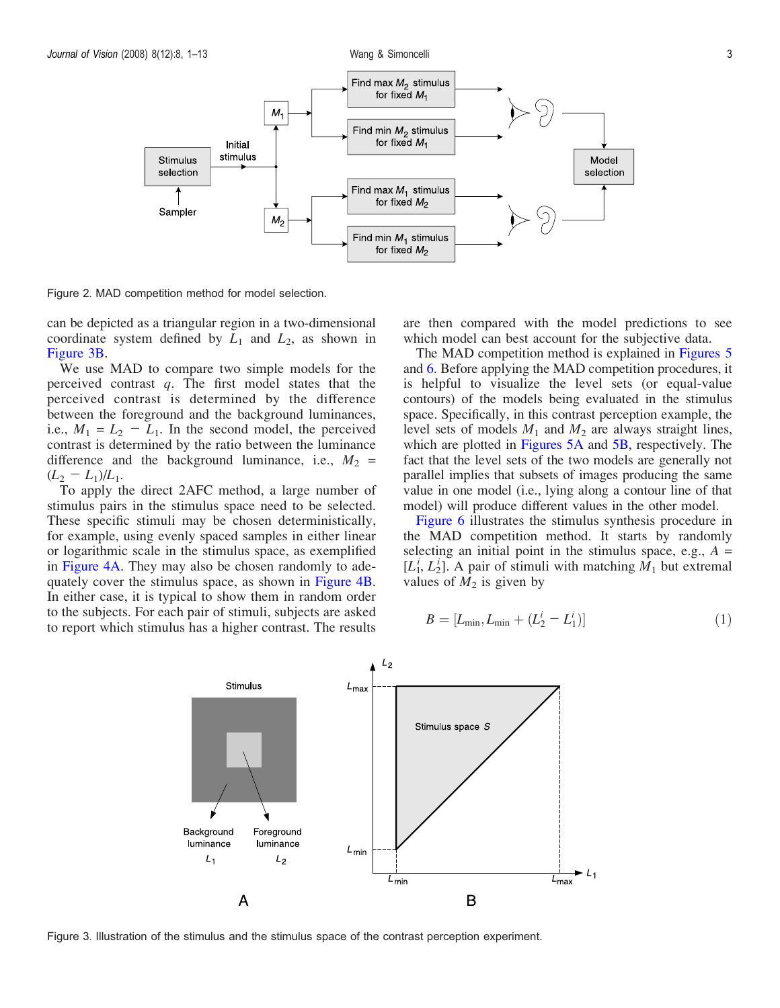

<span id="page-2-0"></span>

Figure 2. MAD competition method for model selection.

can be depicted as a triangular region in a two-dimensional coordinate system defined by  $L_1$  and  $L_2$ , as shown in Figure 3B.

We use MAD to compare two simple models for the perceived contrast  $q$ . The first model states that the perceived contrast is determined by the difference between the foreground and the background luminances, i.e.,  $M_1 = L_2 - L_1$ . In the second model, the perceived contrast is determined by the ratio between the luminance difference and the background luminance, i.e.,  $M_2$  =  $(L_2 - L_1)/L_1$ .

To apply the direct 2AFC method, a large number of stimulus pairs in the stimulus space need to be selected. These specific stimuli may be chosen deterministically, for example, using evenly spaced samples in either linear or logarithmic scale in the stimulus space, as exemplified in [Figure 4A.](#page-3-0) They may also be chosen randomly to adequately cover the stimulus space, as shown in [Figure 4B](#page-3-0). In either case, it is typical to show them in random order to the subjects. For each pair of stimuli, subjects are asked to report which stimulus has a higher contrast. The results

are then compared with the model predictions to see which model can best account for the subjective data.

The MAD competition method is explained in [Figures 5](#page-3-0) and [6](#page-4-0). Before applying the MAD competition procedures, it is helpful to visualize the level sets (or equal-value contours) of the models being evaluated in the stimulus space. Specifically, in this contrast perception example, the level sets of models  $M_1$  and  $M_2$  are always straight lines, which are plotted in [Figures 5A](#page-3-0) and [5B,](#page-3-0) respectively. The fact that the level sets of the two models are generally not parallel implies that subsets of images producing the same value in one model (i.e., lying along a contour line of that model) will produce different values in the other model.

[Figure 6](#page-4-0) illustrates the stimulus synthesis procedure in the MAD competition method. It starts by randomly selecting an initial point in the stimulus space, e.g.,  $A =$  $[L_1^i, L_2^i]$ . A pair of stimuli with matching  $\dot{M}_1$  but extremal values of  $M_2$  is given by

$$
B = [L_{\min}, L_{\min} + (L_2^i - L_1^i)]
$$
\n(1)



Figure 3. Illustration of the stimulus and the stimulus space of the contrast perception experiment.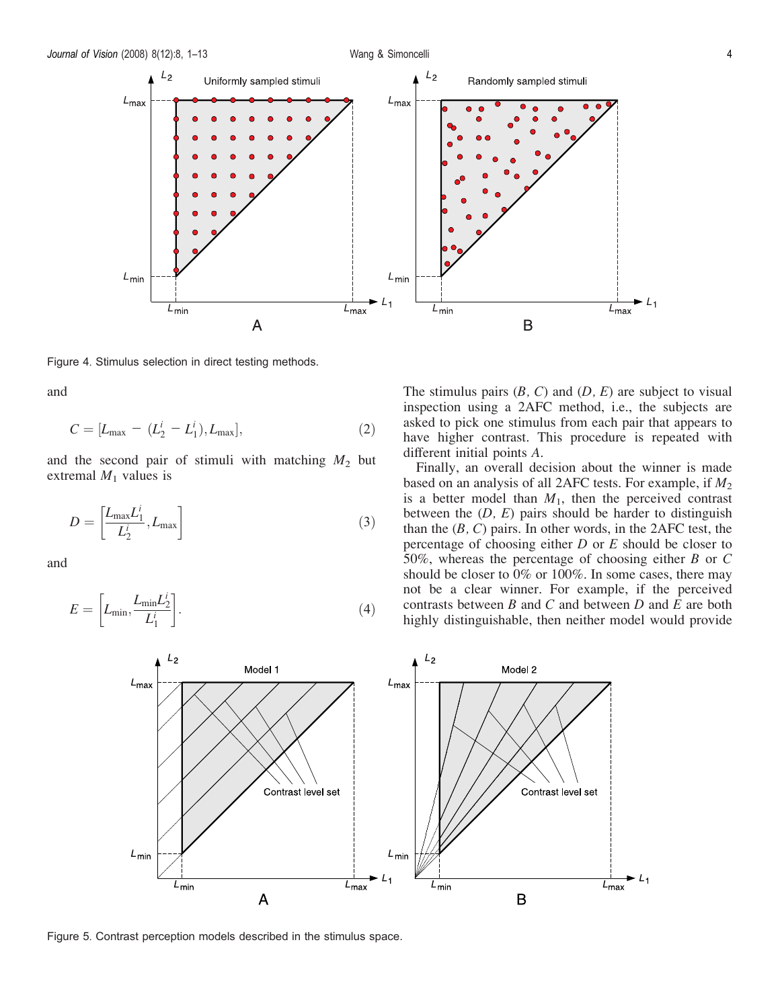<span id="page-3-0"></span>

Figure 4. Stimulus selection in direct testing methods.

and

$$
C = [L_{\text{max}} - (L_2^i - L_1^i), L_{\text{max}}],
$$
\n(2)

and the second pair of stimuli with matching  $M_2$  but extremal  $M_1$  values is

$$
D = \left[\frac{L_{\text{max}}L_1^i}{L_2^i}, L_{\text{max}}\right]
$$
 (3)

and

$$
E = \left[ L_{\min}, \frac{L_{\min} L_2^i}{L_1^i} \right].
$$
\n(4)

The stimulus pairs  $(B, C)$  and  $(D, E)$  are subject to visual inspection using a 2AFC method, i.e., the subjects are asked to pick one stimulus from each pair that appears to have higher contrast. This procedure is repeated with different initial points A.

Finally, an overall decision about the winner is made based on an analysis of all 2AFC tests. For example, if  $M_2$ is a better model than  $M_1$ , then the perceived contrast between the  $(D, E)$  pairs should be harder to distinguish than the  $(B, C)$  pairs. In other words, in the 2AFC test, the percentage of choosing either  $D$  or  $E$  should be closer to 50%, whereas the percentage of choosing either  $B$  or  $C$ should be closer to 0% or 100%. In some cases, there may not be a clear winner. For example, if the perceived contrasts between  $B$  and  $C$  and between  $D$  and  $E$  are both highly distinguishable, then neither model would provide



Figure 5. Contrast perception models described in the stimulus space.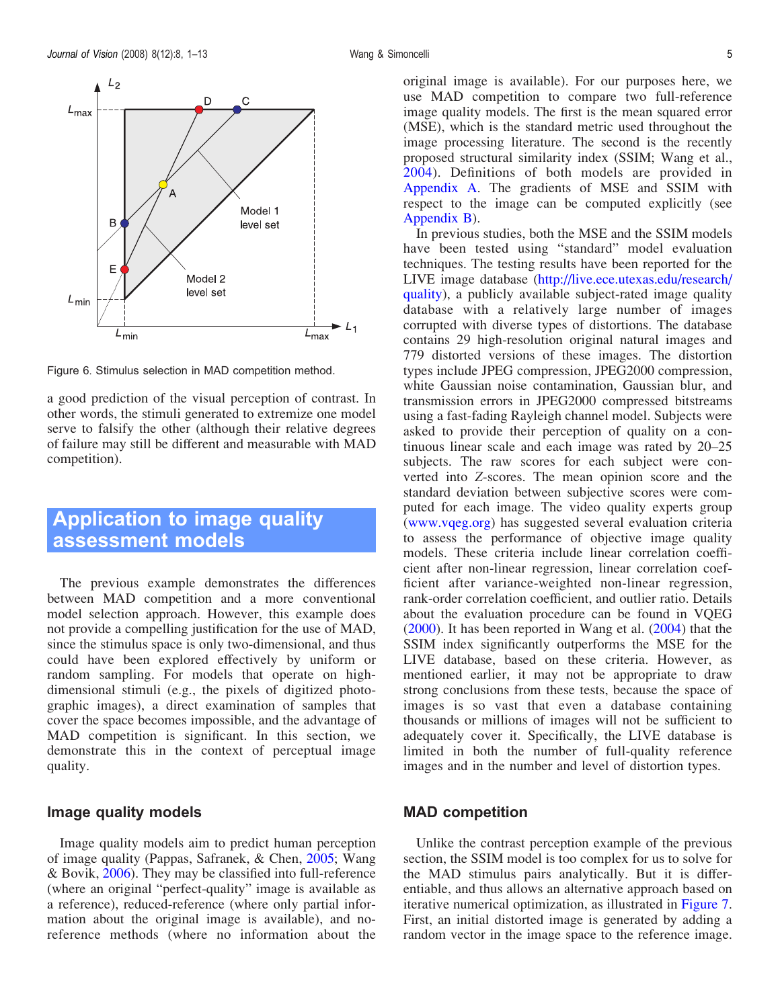<span id="page-4-0"></span>

Figure 6. Stimulus selection in MAD competition method.

a good prediction of the visual perception of contrast. In other words, the stimuli generated to extremize one model serve to falsify the other (although their relative degrees of failure may still be different and measurable with MAD competition).

## Application to image quality assessment models

The previous example demonstrates the differences between MAD competition and a more conventional model selection approach. However, this example does not provide a compelling justification for the use of MAD, since the stimulus space is only two-dimensional, and thus could have been explored effectively by uniform or random sampling. For models that operate on highdimensional stimuli (e.g., the pixels of digitized photographic images), a direct examination of samples that cover the space becomes impossible, and the advantage of MAD competition is significant. In this section, we demonstrate this in the context of perceptual image quality.

## Image quality models

Image quality models aim to predict human perception of image quality (Pappas, Safranek, & Chen, [2005;](#page-11-0) Wang & Bovik, [2006\)](#page-12-0). They may be classified into full-reference (where an original "perfect-quality" image is available as a reference), reduced-reference (where only partial information about the original image is available), and noreference methods (where no information about the

original image is available). For our purposes here, we use MAD competition to compare two full-reference image quality models. The first is the mean squared error (MSE), which is the standard metric used throughout the image processing literature. The second is the recently proposed structural similarity index (SSIM; Wang et al., [2004\)](#page-12-0). Definitions of both models are provided in [Appendix A.](#page-9-0) The gradients of MSE and SSIM with respect to the image can be computed explicitly (see [Appendix B\)](#page-9-0).

In previous studies, both the MSE and the SSIM models have been tested using "standard" model evaluation techniques. The testing results have been reported for the LIVE image database ([http://live.ece.utexas.edu/research/](http://live.ece.utexas.edu/research/quality) [quality](http://live.ece.utexas.edu/research/quality)), a publicly available subject-rated image quality database with a relatively large number of images corrupted with diverse types of distortions. The database contains 29 high-resolution original natural images and 779 distorted versions of these images. The distortion types include JPEG compression, JPEG2000 compression, white Gaussian noise contamination, Gaussian blur, and transmission errors in JPEG2000 compressed bitstreams using a fast-fading Rayleigh channel model. Subjects were asked to provide their perception of quality on a continuous linear scale and each image was rated by 20–25 subjects. The raw scores for each subject were converted into Z-scores. The mean opinion score and the standard deviation between subjective scores were computed for each image. The video quality experts group [\(www.vqeg.org](http://www.vqeg.org)) has suggested several evaluation criteria to assess the performance of objective image quality models. These criteria include linear correlation coefficient after non-linear regression, linear correlation coefficient after variance-weighted non-linear regression, rank-order correlation coefficient, and outlier ratio. Details about the evaluation procedure can be found in VQEG [\(2000](#page-12-0)). It has been reported in Wang et al. [\(2004](#page-12-0)) that the SSIM index significantly outperforms the MSE for the LIVE database, based on these criteria. However, as mentioned earlier, it may not be appropriate to draw strong conclusions from these tests, because the space of images is so vast that even a database containing thousands or millions of images will not be sufficient to adequately cover it. Specifically, the LIVE database is limited in both the number of full-quality reference images and in the number and level of distortion types.

## MAD competition

Unlike the contrast perception example of the previous section, the SSIM model is too complex for us to solve for the MAD stimulus pairs analytically. But it is differentiable, and thus allows an alternative approach based on iterative numerical optimization, as illustrated in [Figure 7](#page-5-0). First, an initial distorted image is generated by adding a random vector in the image space to the reference image.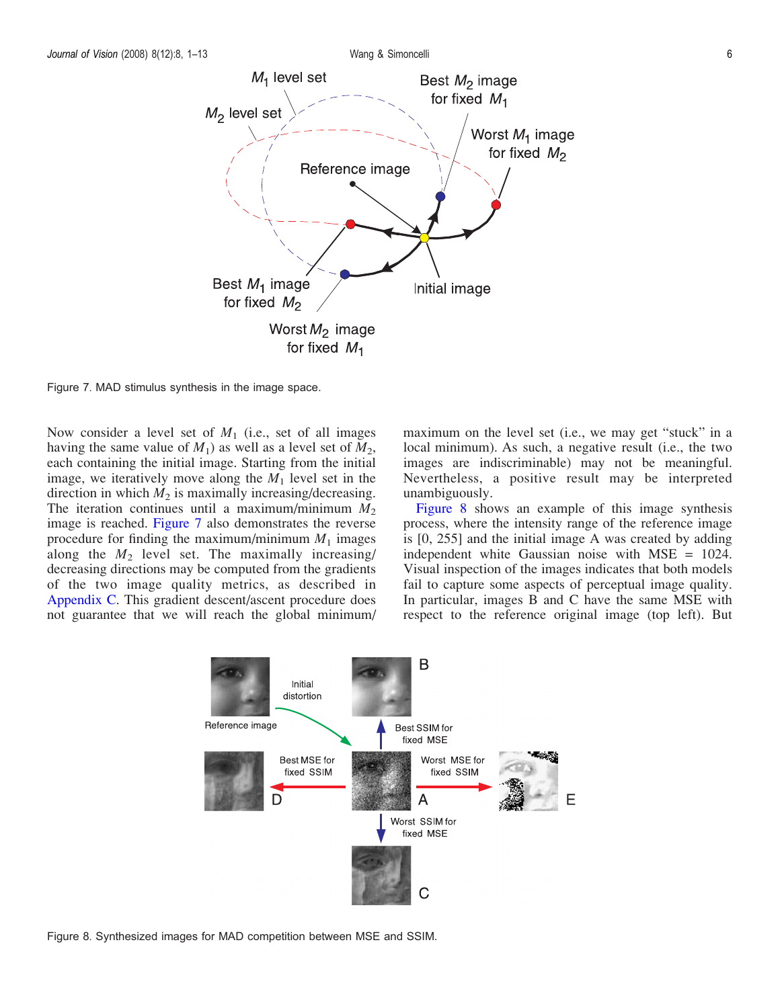<span id="page-5-0"></span>

Figure 7. MAD stimulus synthesis in the image space.

Now consider a level set of  $M_1$  (i.e., set of all images having the same value of  $M_1$ ) as well as a level set of  $M_2$ , each containing the initial image. Starting from the initial image, we iteratively move along the  $M_1$  level set in the direction in which  $M_2$  is maximally increasing/decreasing. The iteration continues until a maximum/minimum  $M_2$ image is reached. Figure 7 also demonstrates the reverse procedure for finding the maximum/minimum  $M_1$  images along the  $M_2$  level set. The maximally increasing/ decreasing directions may be computed from the gradients of the two image quality metrics, as described in [Appendix C](#page-10-0). This gradient descent/ascent procedure does not guarantee that we will reach the global minimum/ maximum on the level set (i.e., we may get "stuck" in a local minimum). As such, a negative result (i.e., the two images are indiscriminable) may not be meaningful. Nevertheless, a positive result may be interpreted unambiguously.

Figure 8 shows an example of this image synthesis process, where the intensity range of the reference image is [0, 255] and the initial image A was created by adding independent white Gaussian noise with MSE = 1024. Visual inspection of the images indicates that both models fail to capture some aspects of perceptual image quality. In particular, images B and C have the same MSE with respect to the reference original image (top left). But



Figure 8. Synthesized images for MAD competition between MSE and SSIM.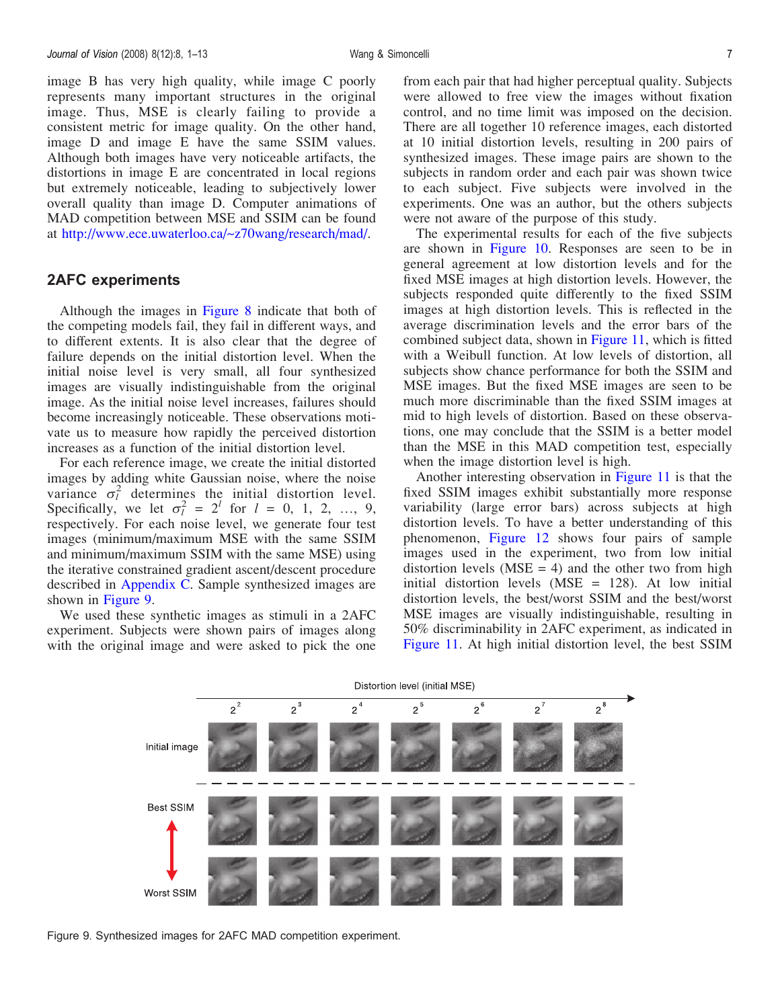image B has very high quality, while image C poorly represents many important structures in the original image. Thus, MSE is clearly failing to provide a consistent metric for image quality. On the other hand, image D and image E have the same SSIM values. Although both images have very noticeable artifacts, the distortions in image E are concentrated in local regions but extremely noticeable, leading to subjectively lower overall quality than image D. Computer animations of MAD competition between MSE and SSIM can be found at <http://www.ece.uwaterloo.ca/~z70wang/research/mad/>.

## 2AFC experiments

Although the images in [Figure 8](#page-5-0) indicate that both of the competing models fail, they fail in different ways, and to different extents. It is also clear that the degree of failure depends on the initial distortion level. When the initial noise level is very small, all four synthesized images are visually indistinguishable from the original image. As the initial noise level increases, failures should become increasingly noticeable. These observations motivate us to measure how rapidly the perceived distortion increases as a function of the initial distortion level.

For each reference image, we create the initial distorted images by adding white Gaussian noise, where the noise variance  $\sigma_l^2$  determings the initial distortion level. Specifically, we let  $\sigma_l^2 = 2^l$  for  $l = 0, 1, 2, ..., 9$ , respectively. For each noise level, we generate four test images (minimum/maximum MSE with the same SSIM and minimum/maximum SSIM with the same MSE) using the iterative constrained gradient ascent/descent procedure described in [Appendix C](#page-10-0). Sample synthesized images are shown in Figure 9.

We used these synthetic images as stimuli in a 2AFC experiment. Subjects were shown pairs of images along with the original image and were asked to pick the one from each pair that had higher perceptual quality. Subjects were allowed to free view the images without fixation control, and no time limit was imposed on the decision. There are all together 10 reference images, each distorted at 10 initial distortion levels, resulting in 200 pairs of synthesized images. These image pairs are shown to the subjects in random order and each pair was shown twice to each subject. Five subjects were involved in the experiments. One was an author, but the others subjects were not aware of the purpose of this study.

The experimental results for each of the five subjects are shown in [Figure 10](#page-7-0). Responses are seen to be in general agreement at low distortion levels and for the fixed MSE images at high distortion levels. However, the subjects responded quite differently to the fixed SSIM images at high distortion levels. This is reflected in the average discrimination levels and the error bars of the combined subject data, shown in [Figure 11,](#page-8-0) which is fitted with a Weibull function. At low levels of distortion, all subjects show chance performance for both the SSIM and MSE images. But the fixed MSE images are seen to be much more discriminable than the fixed SSIM images at mid to high levels of distortion. Based on these observations, one may conclude that the SSIM is a better model than the MSE in this MAD competition test, especially when the image distortion level is high.

Another interesting observation in [Figure 11](#page-8-0) is that the fixed SSIM images exhibit substantially more response variability (large error bars) across subjects at high distortion levels. To have a better understanding of this phenomenon, [Figure 12](#page-8-0) shows four pairs of sample images used in the experiment, two from low initial distortion levels ( $MSE = 4$ ) and the other two from high initial distortion levels (MSE = 128). At low initial distortion levels, the best/worst SSIM and the best/worst MSE images are visually indistinguishable, resulting in 50% discriminability in 2AFC experiment, as indicated in [Figure 11](#page-8-0). At high initial distortion level, the best SSIM

Distortion level (initial MSE)  $2^2$  $2^3$  $2^6$  $2^7$  $2^8$  $2^4$ Initial image **Best SSIM** Worst SSIM

Figure 9. Synthesized images for 2AFC MAD competition experiment.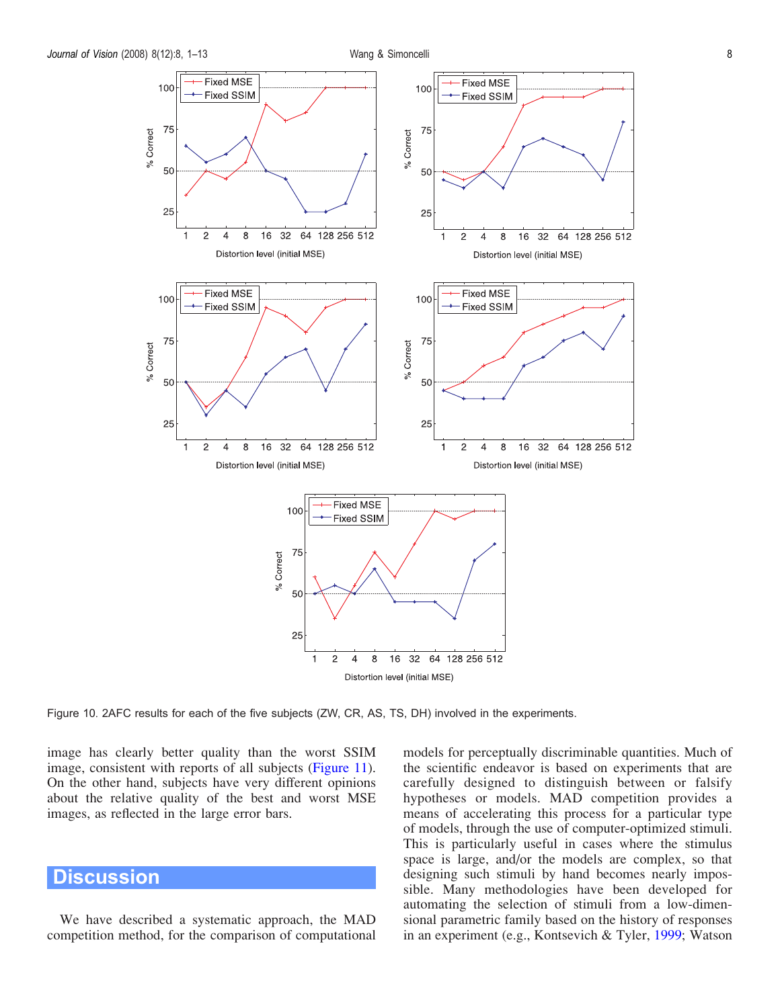<span id="page-7-0"></span>

Figure 10. 2AFC results for each of the five subjects (ZW, CR, AS, TS, DH) involved in the experiments.

image has clearly better quality than the worst SSIM image, consistent with reports of all subjects ([Figure 11\)](#page-8-0). On the other hand, subjects have very different opinions about the relative quality of the best and worst MSE images, as reflected in the large error bars.

## **Discussion**

We have described a systematic approach, the MAD competition method, for the comparison of computational models for perceptually discriminable quantities. Much of the scientific endeavor is based on experiments that are carefully designed to distinguish between or falsify hypotheses or models. MAD competition provides a means of accelerating this process for a particular type of models, through the use of computer-optimized stimuli. This is particularly useful in cases where the stimulus space is large, and/or the models are complex, so that designing such stimuli by hand becomes nearly impossible. Many methodologies have been developed for automating the selection of stimuli from a low-dimensional parametric family based on the history of responses in an experiment (e.g., Kontsevich & Tyler, [1999](#page-11-0); Watson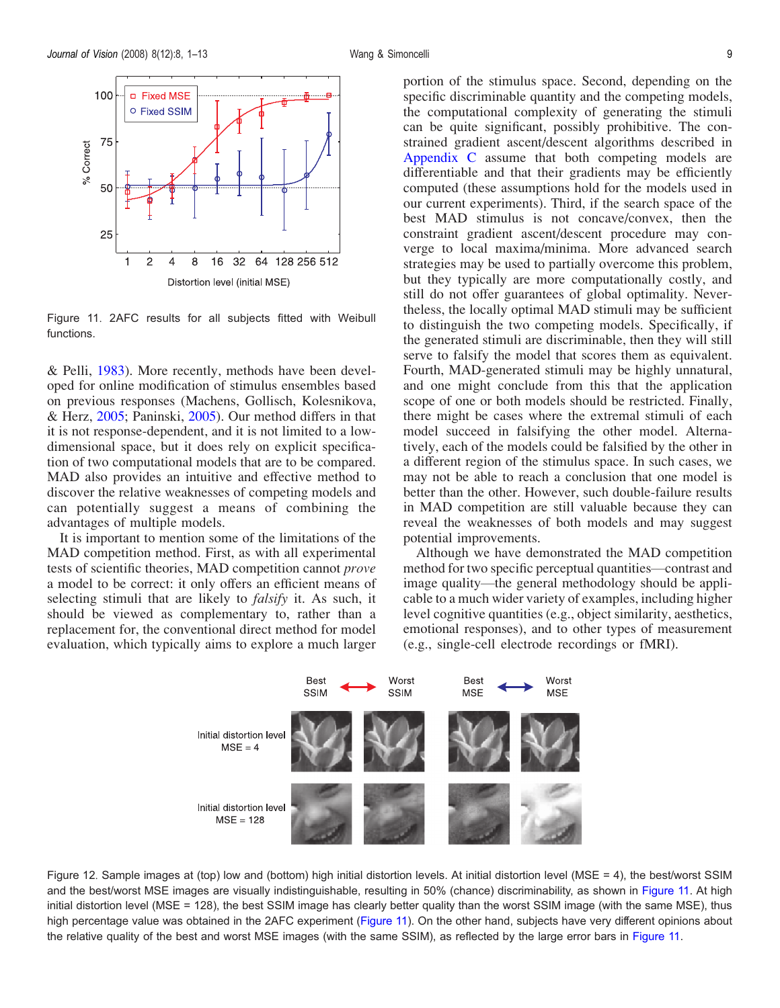<span id="page-8-0"></span>

Figure 11. 2AFC results for all subjects fitted with Weibull functions.

& Pelli, [1983\)](#page-12-0). More recently, methods have been developed for online modification of stimulus ensembles based on previous responses (Machens, Gollisch, Kolesnikova, & Herz, [2005;](#page-11-0) Paninski, [2005\)](#page-11-0). Our method differs in that it is not response-dependent, and it is not limited to a lowdimensional space, but it does rely on explicit specification of two computational models that are to be compared. MAD also provides an intuitive and effective method to discover the relative weaknesses of competing models and can potentially suggest a means of combining the advantages of multiple models.

It is important to mention some of the limitations of the MAD competition method. First, as with all experimental tests of scientific theories, MAD competition cannot prove a model to be correct: it only offers an efficient means of selecting stimuli that are likely to *falsify* it. As such, it should be viewed as complementary to, rather than a replacement for, the conventional direct method for model evaluation, which typically aims to explore a much larger

portion of the stimulus space. Second, depending on the specific discriminable quantity and the competing models, the computational complexity of generating the stimuli can be quite significant, possibly prohibitive. The constrained gradient ascent/descent algorithms described in [Appendix C](#page-10-0) assume that both competing models are differentiable and that their gradients may be efficiently computed (these assumptions hold for the models used in our current experiments). Third, if the search space of the best MAD stimulus is not concave/convex, then the constraint gradient ascent/descent procedure may converge to local maxima/minima. More advanced search strategies may be used to partially overcome this problem, but they typically are more computationally costly, and still do not offer guarantees of global optimality. Nevertheless, the locally optimal MAD stimuli may be sufficient to distinguish the two competing models. Specifically, if the generated stimuli are discriminable, then they will still serve to falsify the model that scores them as equivalent. Fourth, MAD-generated stimuli may be highly unnatural, and one might conclude from this that the application scope of one or both models should be restricted. Finally, there might be cases where the extremal stimuli of each model succeed in falsifying the other model. Alternatively, each of the models could be falsified by the other in a different region of the stimulus space. In such cases, we may not be able to reach a conclusion that one model is better than the other. However, such double-failure results in MAD competition are still valuable because they can reveal the weaknesses of both models and may suggest potential improvements.

Although we have demonstrated the MAD competition method for two specific perceptual quantities—contrast and image quality—the general methodology should be applicable to a much wider variety of examples, including higher level cognitive quantities (e.g., object similarity, aesthetics, emotional responses), and to other types of measurement (e.g., single-cell electrode recordings or fMRI).



Figure 12. Sample images at (top) low and (bottom) high initial distortion levels. At initial distortion level (MSE = 4), the best/worst SSIM and the best/worst MSE images are visually indistinguishable, resulting in 50% (chance) discriminability, as shown in Figure 11. At high initial distortion level (MSE = 128), the best SSIM image has clearly better quality than the worst SSIM image (with the same MSE), thus high percentage value was obtained in the 2AFC experiment (Figure 11). On the other hand, subjects have very different opinions about the relative quality of the best and worst MSE images (with the same SSIM), as reflected by the large error bars in Figure 11.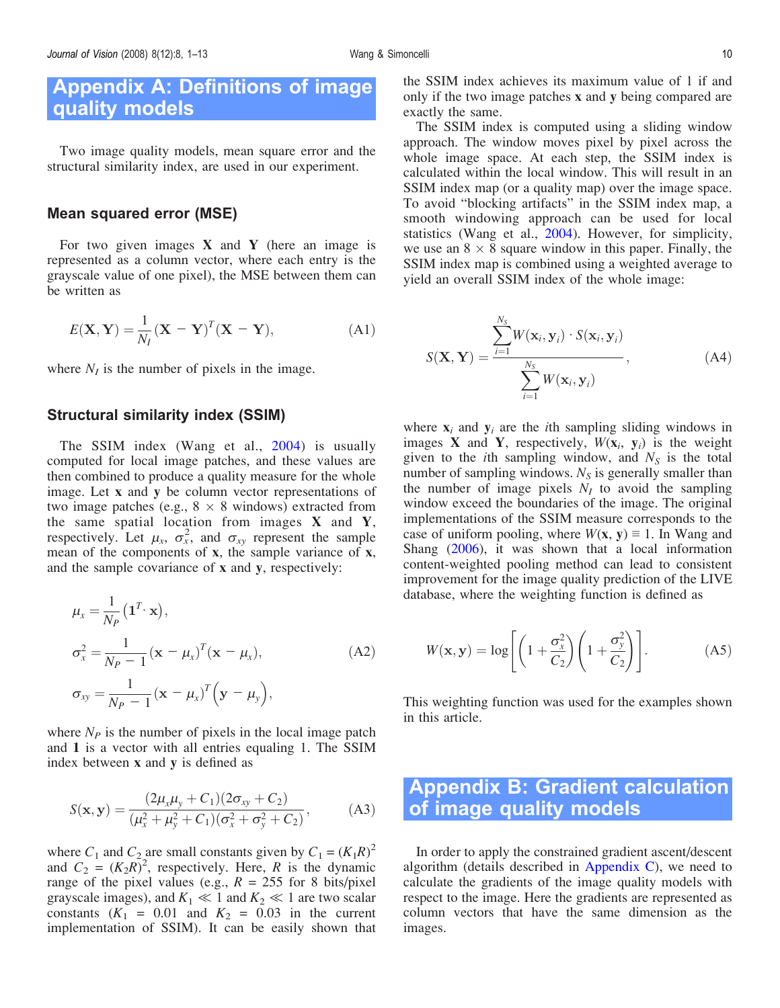## <span id="page-9-0"></span>Appendix A: Definitions of image quality models

Two image quality models, mean square error and the structural similarity index, are used in our experiment.

#### Mean squared error (MSE)

For two given images  $X$  and  $Y$  (here an image is represented as a column vector, where each entry is the grayscale value of one pixel), the MSE between them can be written as

$$
E(\mathbf{X}, \mathbf{Y}) = \frac{1}{N_I} (\mathbf{X} - \mathbf{Y})^T (\mathbf{X} - \mathbf{Y}),
$$
 (A1)

where  $N_I$  is the number of pixels in the image.

#### Structural similarity index (SSIM)

The SSIM index (Wang et al., [2004](#page-12-0)) is usually computed for local image patches, and these values are then combined to produce a quality measure for the whole image. Let x and y be column vector representations of two image patches (e.g.,  $8 \times 8$  windows) extracted from the same spatial location from images  $X$  and  $Y$ , respectively. Let  $\mu_x$ ,  $\sigma_x^2$ , and  $\sigma_{xy}$  represent the sample mean of the components of x, the sample variance of x, and the sample covariance of x and y, respectively:

$$
\mu_x = \frac{1}{N_P} (\mathbf{1}^T \cdot \mathbf{x}),
$$
  
\n
$$
\sigma_x^2 = \frac{1}{N_P - 1} (\mathbf{x} - \mu_x)^T (\mathbf{x} - \mu_x),
$$
  
\n
$$
\sigma_{xy} = \frac{1}{N_P - 1} (\mathbf{x} - \mu_x)^T (\mathbf{y} - \mu_y),
$$
\n(A2)

where  $N_P$  is the number of pixels in the local image patch and 1 is a vector with all entries equaling 1. The SSIM index between x and y is defined as

$$
S(\mathbf{x}, \mathbf{y}) = \frac{(2\mu_x \mu_y + C_1)(2\sigma_{xy} + C_2)}{(\mu_x^2 + \mu_y^2 + C_1)(\sigma_x^2 + \sigma_y^2 + C_2)},
$$
 (A3)

where  $C_1$  and  $C_2$  are small constants given by  $C_1 = (K_1 R)^2$ and  $C_2 = (K_2 R)^2$ , respectively. Here, R is the dynamic range of the pixel values (e.g.,  $R = 255$  for 8 bits/pixel grayscale images), and  $K_1 \ll 1$  and  $K_2 \ll 1$  are two scalar constants  $(K_1 = 0.01$  and  $K_2 = 0.03$  in the current implementation of SSIM). It can be easily shown that

the SSIM index achieves its maximum value of 1 if and only if the two image patches x and y being compared are exactly the same.

The SSIM index is computed using a sliding window approach. The window moves pixel by pixel across the whole image space. At each step, the SSIM index is calculated within the local window. This will result in an SSIM index map (or a quality map) over the image space. To avoid "blocking artifacts" in the SSIM index map, a smooth windowing approach can be used for local statistics (Wang et al., [2004\)](#page-12-0). However, for simplicity, we use an  $8 \times 8$  square window in this paper. Finally, the SSIM index map is combined using a weighted average to yield an overall SSIM index of the whole image:

$$
S(\mathbf{X}, \mathbf{Y}) = \frac{\sum_{i=1}^{N_S} W(\mathbf{x}_i, \mathbf{y}_i) \cdot S(\mathbf{x}_i, \mathbf{y}_i)}{\sum_{i=1}^{N_S} W(\mathbf{x}_i, \mathbf{y}_i)},
$$
(A4)

where  $x_i$  and  $y_i$  are the *i*th sampling sliding windows in images **X** and **Y**, respectively,  $W(\mathbf{x}_i, \mathbf{y}_i)$  is the weight given to the *i*th sampling window, and  $N<sub>S</sub>$  is the total number of sampling windows.  $N<sub>S</sub>$  is generally smaller than the number of image pixels  $N_I$  to avoid the sampling window exceed the boundaries of the image. The original implementations of the SSIM measure corresponds to the case of uniform pooling, where  $W(x, y) \equiv 1$ . In Wang and Shang [\(2006](#page-12-0)), it was shown that a local information content-weighted pooling method can lead to consistent improvement for the image quality prediction of the LIVE database, where the weighting function is defined as

$$
W(\mathbf{x}, \mathbf{y}) = \log \left[ \left( 1 + \frac{\sigma_x^2}{C_2} \right) \left( 1 + \frac{\sigma_y^2}{C_2} \right) \right]. \tag{A5}
$$

This weighting function was used for the examples shown in this article.

## Appendix B: Gradient calculation of image quality models

In order to apply the constrained gradient ascent/descent algorithm (details described in [Appendix C\)](#page-10-0), we need to calculate the gradients of the image quality models with respect to the image. Here the gradients are represented as column vectors that have the same dimension as the images.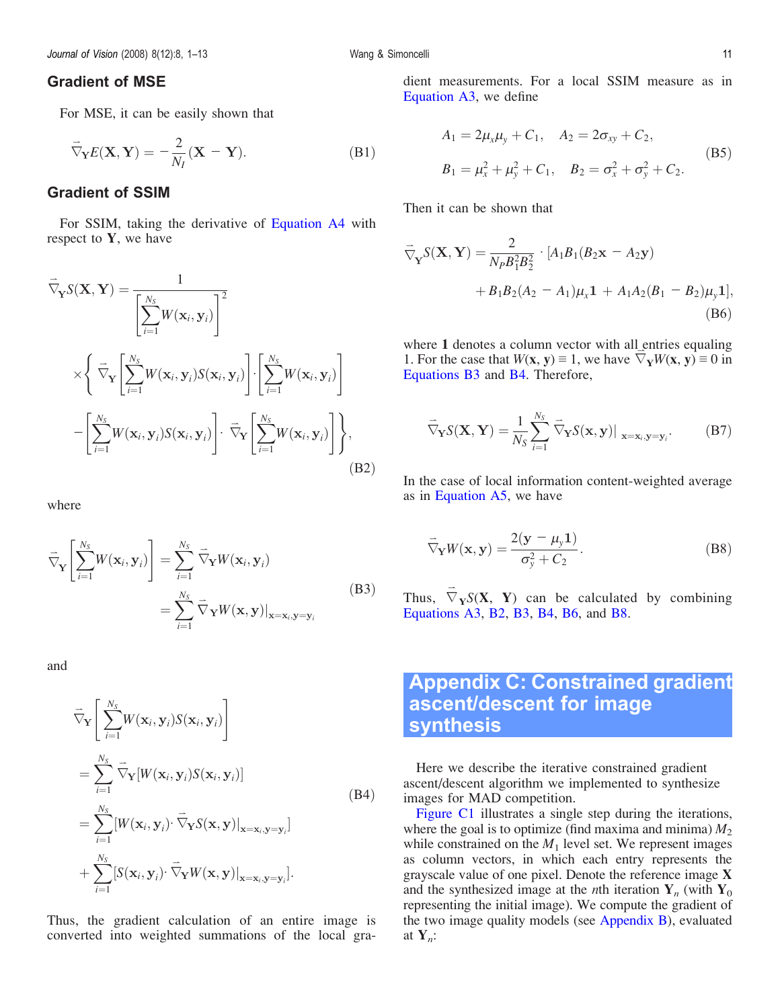## <span id="page-10-0"></span>Gradient of MSE

For MSE, it can be easily shown that

$$
\vec{\nabla}_{\mathbf{Y}} E(\mathbf{X}, \mathbf{Y}) = -\frac{2}{N_I} (\mathbf{X} - \mathbf{Y}).
$$
 (B1)

#### Gradient of SSIM

For SSIM, taking the derivative of [Equation A4](#page-9-0) with respect to  $Y$ , we have

$$
\overrightarrow{\nabla}_{\mathbf{Y}} S(\mathbf{X}, \mathbf{Y}) = \frac{1}{\left[\sum_{i=1}^{N_S} W(\mathbf{x}_i, \mathbf{y}_i)\right]^2}
$$
\n
$$
\times \left\{\overrightarrow{\nabla}_{\mathbf{Y}} \left[\sum_{i=1}^{N_S} W(\mathbf{x}_i, \mathbf{y}_i) S(\mathbf{x}_i, \mathbf{y}_i)\right] \cdot \left[\sum_{i=1}^{N_S} W(\mathbf{x}_i, \mathbf{y}_i)\right] - \left[\sum_{i=1}^{N_S} W(\mathbf{x}_i, \mathbf{y}_i) S(\mathbf{x}_i, \mathbf{y}_i)\right] \cdot \overrightarrow{\nabla}_{\mathbf{Y}} \left[\sum_{i=1}^{N_S} W(\mathbf{x}_i, \mathbf{y}_i)\right] \right\},
$$
\n(B2)

where

$$
\overrightarrow{\nabla}_{\mathbf{Y}}\left[\sum_{i=1}^{N_{S}}W(\mathbf{x}_{i},\mathbf{y}_{i})\right]=\sum_{i=1}^{N_{S}}\overrightarrow{\nabla}_{\mathbf{Y}}W(\mathbf{x}_{i},\mathbf{y}_{i})
$$
\n
$$
=\sum_{i=1}^{N_{S}}\overrightarrow{\nabla}_{\mathbf{Y}}W(\mathbf{x},\mathbf{y})|_{\mathbf{x}=\mathbf{x}_{i},\mathbf{y}=\mathbf{y}_{i}}
$$
\n(B3)

and

$$
\overrightarrow{\nabla}_{\mathbf{Y}}\left[\sum_{i=1}^{N_{S}}W(\mathbf{x}_{i},\mathbf{y}_{i})S(\mathbf{x}_{i},\mathbf{y}_{i})\right]
$$
\n
$$
=\sum_{i=1}^{N_{S}}\overrightarrow{\nabla}_{\mathbf{Y}}[W(\mathbf{x}_{i},\mathbf{y}_{i})S(\mathbf{x}_{i},\mathbf{y}_{i})]
$$
\n
$$
=\sum_{i=1}^{N_{S}}[W(\mathbf{x}_{i},\mathbf{y}_{i})\cdot\overrightarrow{\nabla}_{\mathbf{Y}}S(\mathbf{x},\mathbf{y})|_{\mathbf{x}=\mathbf{x}_{i},\mathbf{y}=\mathbf{y}_{i}}]
$$
\n
$$
+\sum_{i=1}^{N_{S}}[S(\mathbf{x}_{i},\mathbf{y}_{i})\cdot\overrightarrow{\nabla}_{\mathbf{Y}}W(\mathbf{x},\mathbf{y})|_{\mathbf{x}=\mathbf{x}_{i},\mathbf{y}=\mathbf{y}_{i}}].
$$
\n(B4)

Thus, the gradient calculation of an entire image is converted into weighted summations of the local gradient measurements. For a local SSIM measure as in [Equation A3](#page-9-0), we define

$$
A_1 = 2\mu_x \mu_y + C_1, \quad A_2 = 2\sigma_{xy} + C_2,
$$
  
\n
$$
B_1 = \mu_x^2 + \mu_y^2 + C_1, \quad B_2 = \sigma_x^2 + \sigma_y^2 + C_2.
$$
 (B5)

Then it can be shown that

$$
\overrightarrow{\nabla}_{\mathbf{Y}} S(\mathbf{X}, \mathbf{Y}) = \frac{2}{N_P B_1^2 B_2^2} \cdot [A_1 B_1 (B_2 \mathbf{x} - A_2 \mathbf{y}) \n+ B_1 B_2 (A_2 - A_1) \mu_x \mathbf{1} + A_1 A_2 (B_1 - B_2) \mu_y \mathbf{1}],
$$
\n(B6)

where 1 denotes a column vector with all entries equaling 1. For the case that  $W(\mathbf{x}, \mathbf{y}) \equiv 1$ , we have  $\nabla_{\mathbf{Y}} W(\mathbf{x}, \mathbf{y}) \equiv 0$  in Equations B3 and B4. Therefore,

$$
\vec{\nabla}_{\mathbf{Y}} S(\mathbf{X}, \mathbf{Y}) = \frac{1}{N_S} \sum_{i=1}^{N_S} \vec{\nabla}_{\mathbf{Y}} S(\mathbf{x}, \mathbf{y}) \big|_{\mathbf{x} = \mathbf{x}_i, \mathbf{y} = \mathbf{y}_i}.
$$
 (B7)

In the case of local information content-weighted average as in [Equation A5](#page-9-0), we have

$$
\overrightarrow{\nabla}_{\mathbf{Y}} W(\mathbf{x}, \mathbf{y}) = \frac{2(\mathbf{y} - \mu_{y}\mathbf{1})}{\sigma_{y}^{2} + C_{2}}.
$$
 (B8)

Thus,  $\overrightarrow{\nabla}_{\mathbf{Y}} S(\mathbf{X}, \mathbf{Y})$  can be calculated by combining [Equations A3,](#page-9-0) B2, B3, B4, B6, and B8.

## Appendix C: Constrained gradient ascent/descent for image synthesis

Here we describe the iterative constrained gradient ascent/descent algorithm we implemented to synthesize images for MAD competition.

[Figure C1](#page-11-0) illustrates a single step during the iterations, where the goal is to optimize (find maxima and minima)  $M_2$ while constrained on the  $M_1$  level set. We represent images as column vectors, in which each entry represents the grayscale value of one pixel. Denote the reference image X and the synthesized image at the *n*th iteration  $Y_n$  (with  $Y_0$ representing the initial image). We compute the gradient of the two image quality models (see [Appendix B](#page-9-0)), evaluated at  $Y_n$ :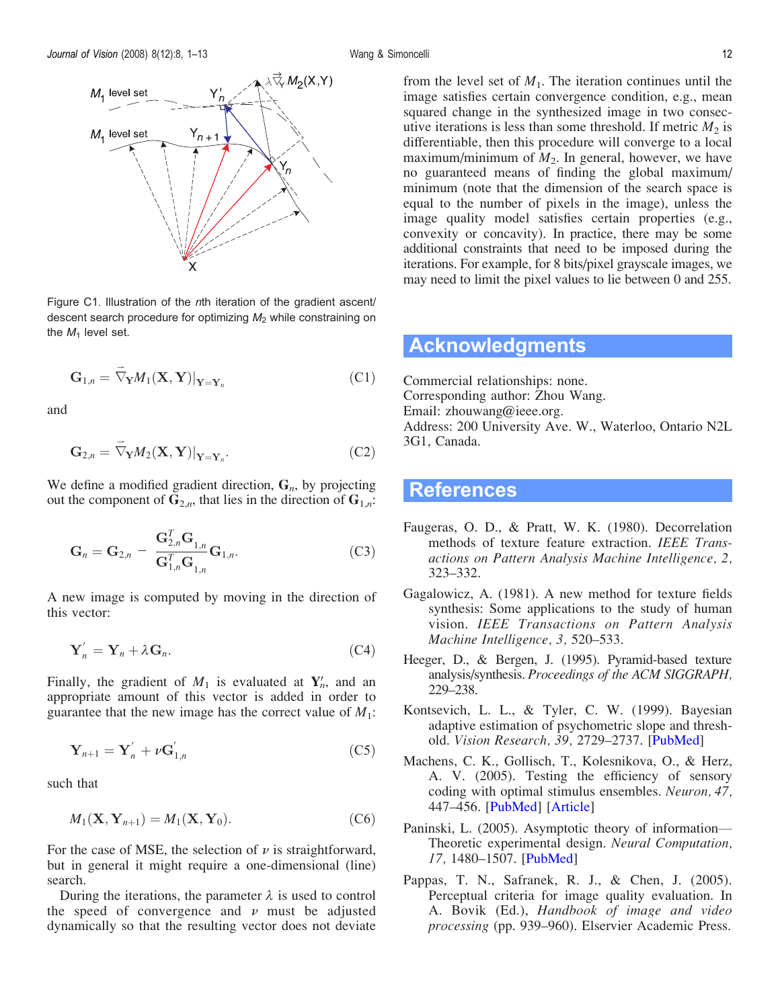<span id="page-11-0"></span>

Figure C1. Illustration of the nth iteration of the gradient ascent/ descent search procedure for optimizing  $M_2$  while constraining on the  $M_1$  level set.

$$
\mathbf{G}_{1,n} = \overrightarrow{\nabla}_{\mathbf{Y}} M_1(\mathbf{X}, \mathbf{Y})|_{\mathbf{Y} = \mathbf{Y}_n}
$$
 (C1)

and

$$
\mathbf{G}_{2,n} = \overrightarrow{\nabla}_{\mathbf{Y}} M_2(\mathbf{X}, \mathbf{Y})|_{\mathbf{Y} = \mathbf{Y}_n}.
$$
 (C2)

We define a modified gradient direction,  $G_n$ , by projecting out the component of  $G_{2,n}$ , that lies in the direction of  $G_{1,n}$ :

$$
\mathbf{G}_n = \mathbf{G}_{2,n} - \frac{\mathbf{G}_{2,n}^T \mathbf{G}_{1,n}}{\mathbf{G}_{1,n}^T \mathbf{G}_{1,n}} \mathbf{G}_{1,n}.
$$
 (C3)

A new image is computed by moving in the direction of this vector:

$$
\mathbf{Y}'_n = \mathbf{Y}_n + \lambda \mathbf{G}_n. \tag{C4}
$$

Finally, the gradient of  $M_1$  is evaluated at  $Y_n$ , and an appropriate amount of this vector is added in order to guarantee that the new image has the correct value of  $M_1$ :

$$
\mathbf{Y}_{n+1} = \mathbf{Y}'_n + \nu \mathbf{G}'_{1,n} \tag{C5}
$$

such that

$$
M_1(\mathbf{X}, \mathbf{Y}_{n+1}) = M_1(\mathbf{X}, \mathbf{Y}_0). \tag{C6}
$$

For the case of MSE, the selection of  $\nu$  is straightforward, but in general it might require a one-dimensional (line) search.

During the iterations, the parameter  $\lambda$  is used to control the speed of convergence and  $\nu$  must be adjusted dynamically so that the resulting vector does not deviate from the level set of  $M_1$ . The iteration continues until the image satisfies certain convergence condition, e.g., mean squared change in the synthesized image in two consecutive iterations is less than some threshold. If metric  $M_2$  is differentiable, then this procedure will converge to a local maximum/minimum of  $M_2$ . In general, however, we have no guaranteed means of finding the global maximum/ minimum (note that the dimension of the search space is equal to the number of pixels in the image), unless the image quality model satisfies certain properties (e.g., convexity or concavity). In practice, there may be some additional constraints that need to be imposed during the iterations. For example, for 8 bits/pixel grayscale images, we may need to limit the pixel values to lie between 0 and 255.

## Acknowledgments

Commercial relationships: none. Corresponding author: Zhou Wang. Email: zhouwang@ieee.org. Address: 200 University Ave. W., Waterloo, Ontario N2L 3G1, Canada.

## References

- Faugeras, O. D., & Pratt, W. K. (1980). Decorrelation methods of texture feature extraction. IEEE Transactions on Pattern Analysis Machine Intelligence, 2, 323–332.
- Gagalowicz, A. (1981). A new method for texture fields synthesis: Some applications to the study of human vision. IEEE Transactions on Pattern Analysis Machine Intelligence, 3, 520–533.
- Heeger, D., & Bergen, J. (1995). Pyramid-based texture analysis/synthesis. Proceedings of the ACM SIGGRAPH, 229–238.
- Kontsevich, L. L., & Tyler, C. W. (1999). Bayesian adaptive estimation of psychometric slope and thresh-old. Vision Research, 39, 2729-2737. [\[PubMed](http://www.ncbi.nlm.nih.gov/pubmed/10492833?ordinalpos=5&itool=EntrezSystem2.PEntrez.Pubmed.Pubmed_ResultsPanel.Pubmed_RVDocSum)]
- Machens, C. K., Gollisch, T., Kolesnikova, O., & Herz, A. V. (2005). Testing the efficiency of sensory coding with optimal stimulus ensembles. Neuron, 47, 447–456. [[PubMed\]](http://www.ncbi.nlm.nih.gov/pubmed/16055067?ordinalpos=19&itool=EntrezSystem2.PEntrez.Pubmed.Pubmed_ResultsPanel.Pubmed_RVDocSum) [[Article](http://www.sciencedirect.com/science?_ob=ArticleURL&_udi=B6WSS-4GSSR96-G&_user=10&_rdoc=1&_fmt=&_orig=search&_sort=d&view=c&_version=1&_urlVersion=0&_userid=10&md5=bae4da235cbad291481c78a86dfc9619)]
- Paninski, L. (2005). Asymptotic theory of information— Theoretic experimental design. Neural Computation, 17, 1480–1507. [\[PubMed](http://www.ncbi.nlm.nih.gov/pubmed/15901405?ordinalpos=31&itool=EntrezSystem2.PEntrez.Pubmed.Pubmed_ResultsPanel.Pubmed_RVDocSum)]
- Pappas, T. N., Safranek, R. J., & Chen, J. (2005). Perceptual criteria for image quality evaluation. In A. Bovik (Ed.), Handbook of image and video processing (pp. 939–960). Elservier Academic Press.